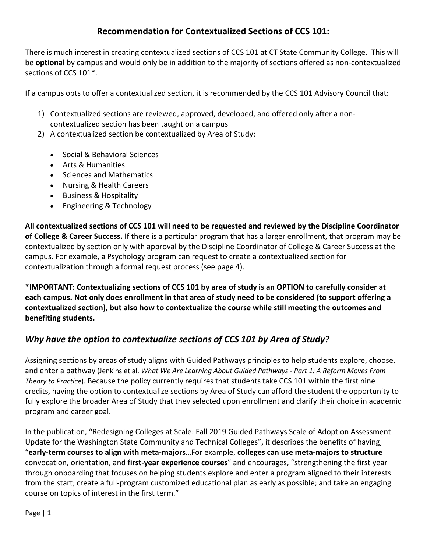#### **Recommendation for Contextualized Sections of CCS 101:**

There is much interest in creating contextualized sections of CCS 101 at CT State Community College. This will be **optional** by campus and would only be in addition to the majority of sections offered as non-contextualized sections of CCS 101\*.

If a campus opts to offer a contextualized section, it is recommended by the CCS 101 Advisory Council that:

- 1) Contextualized sections are reviewed, approved, developed, and offered only after a noncontextualized section has been taught on a campus
- 2) A contextualized section be contextualized by Area of Study:
	- Social & Behavioral Sciences
	- Arts & Humanities
	- Sciences and Mathematics
	- Nursing & Health Careers
	- Business & Hospitality
	- Engineering & Technology

**All contextualized sections of CCS 101 will need to be requested and reviewed by the Discipline Coordinator of College & Career Success.** If there is a particular program that has a larger enrollment, that program may be contextualized by section only with approval by the Discipline Coordinator of College & Career Success at the campus. For example, a Psychology program can request to create a contextualized section for contextualization through a formal request process (see page 4).

**\*IMPORTANT: Contextualizing sections of CCS 101 by area of study is an OPTION to carefully consider at each campus. Not only does enrollment in that area of study need to be considered (to support offering a contextualized section), but also how to contextualize the course while still meeting the outcomes and benefiting students.** 

#### *Why have the option to contextualize sections of CCS 101 by Area of Study?*

Assigning sections by areas of study aligns with Guided Pathways principles to help students explore, choose, and enter a pathway (Jenkins et al. *What We Are Learning About Guided Pathways - Part 1: A Reform Moves From Theory to Practice*). Because the policy currently requires that students take CCS 101 within the first nine credits, having the option to contextualize sections by Area of Study can afford the student the opportunity to fully explore the broader Area of Study that they selected upon enrollment and clarify their choice in academic program and career goal.

In the publication, "Redesigning Colleges at Scale: Fall 2019 Guided Pathways Scale of Adoption Assessment Update for the Washington State Community and Technical Colleges", it describes the benefits of having, "**early-term courses to align with meta-majors**…For example, **colleges can use meta-majors to structure** convocation, orientation, and **first-year experience courses**" and encourages, "strengthening the first year through onboarding that focuses on helping students explore and enter a program aligned to their interests from the start; create a full-program customized educational plan as early as possible; and take an engaging course on topics of interest in the first term."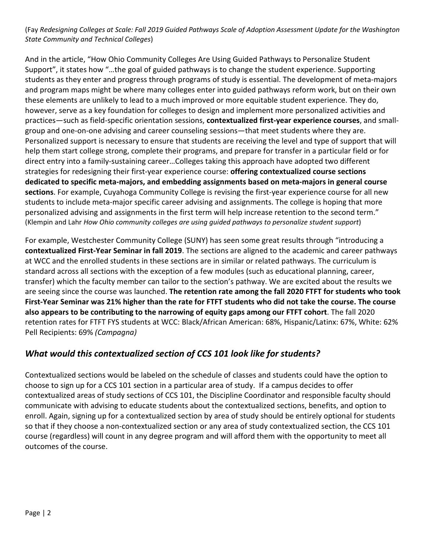(Fay *Redesigning Colleges at Scale: Fall 2019 Guided Pathways Scale of Adoption Assessment Update for the Washington State Community and Technical Colleges*)

And in the article, "How Ohio Community Colleges Are Using Guided Pathways to Personalize Student Support", it states how "…the goal of guided pathways is to change the student experience. Supporting students as they enter and progress through programs of study is essential. The development of meta-majors and program maps might be where many colleges enter into guided pathways reform work, but on their own these elements are unlikely to lead to a much improved or more equitable student experience. They do, however, serve as a key foundation for colleges to design and implement more personalized activities and practices—such as field-specific orientation sessions, **contextualized first-year experience courses**, and smallgroup and one-on-one advising and career counseling sessions—that meet students where they are. Personalized support is necessary to ensure that students are receiving the level and type of support that will help them start college strong, complete their programs, and prepare for transfer in a particular field or for direct entry into a family-sustaining career…Colleges taking this approach have adopted two different strategies for redesigning their first-year experience course: **offering contextualized course sections dedicated to specific meta-majors, and embedding assignments based on meta-majors in general course sections**. For example, Cuyahoga Community College is revising the first-year experience course for all new students to include meta-major specific career advising and assignments. The college is hoping that more personalized advising and assignments in the first term will help increase retention to the second term." (Klempin and Lahr *How Ohio community colleges are using guided pathways to personalize student support*)

For example, Westchester Community College (SUNY) has seen some great results through "introducing a **contextualized First-Year Seminar in fall 2019**. The sections are aligned to the academic and career pathways at WCC and the enrolled students in these sections are in similar or related pathways. The curriculum is standard across all sections with the exception of a few modules (such as educational planning, career, transfer) which the faculty member can tailor to the section's pathway. We are excited about the results we are seeing since the course was launched. **The retention rate among the fall 2020 FTFT for students who took First-Year Seminar was 21% higher than the rate for FTFT students who did not take the course. The course also appears to be contributing to the narrowing of equity gaps among our FTFT cohort**. The fall 2020 retention rates for FTFT FYS students at WCC: Black/African American: 68%, Hispanic/Latinx: 67%, White: 62% Pell Recipients: 69% *(Campagna)* 

## *What would this contextualized section of CCS 101 look like for students?*

Contextualized sections would be labeled on the schedule of classes and students could have the option to choose to sign up for a CCS 101 section in a particular area of study. If a campus decides to offer contextualized areas of study sections of CCS 101, the Discipline Coordinator and responsible faculty should communicate with advising to educate students about the contextualized sections, benefits, and option to enroll. Again, signing up for a contextualized section by area of study should be entirely optional for students so that if they choose a non-contextualized section or any area of study contextualized section, the CCS 101 course (regardless) will count in any degree program and will afford them with the opportunity to meet all outcomes of the course.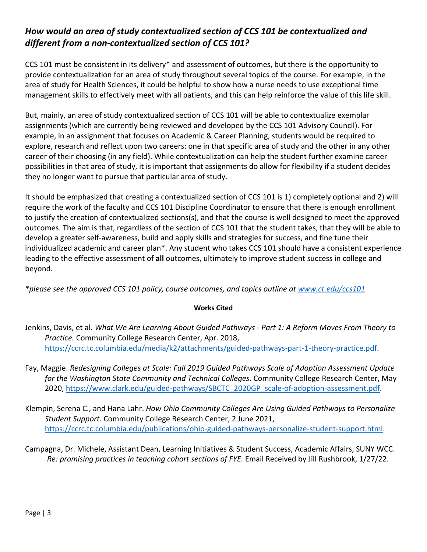### *How would an area of study contextualized section of CCS 101 be contextualized and different from a non-contextualized section of CCS 101?*

CCS 101 must be consistent in its delivery\* and assessment of outcomes, but there is the opportunity to provide contextualization for an area of study throughout several topics of the course. For example, in the area of study for Health Sciences, it could be helpful to show how a nurse needs to use exceptional time management skills to effectively meet with all patients, and this can help reinforce the value of this life skill.

But, mainly, an area of study contextualized section of CCS 101 will be able to contextualize exemplar assignments (which are currently being reviewed and developed by the CCS 101 Advisory Council). For example, in an assignment that focuses on Academic & Career Planning, students would be required to explore, research and reflect upon two careers: one in that specific area of study and the other in any other career of their choosing (in any field). While contextualization can help the student further examine career possibilities in that area of study, it is important that assignments do allow for flexibility if a student decides they no longer want to pursue that particular area of study.

It should be emphasized that creating a contextualized section of CCS 101 is 1) completely optional and 2) will require the work of the faculty and CCS 101 Discipline Coordinator to ensure that there is enough enrollment to justify the creation of contextualized sections(s), and that the course is well designed to meet the approved outcomes. The aim is that, regardless of the section of CCS 101 that the student takes, that they will be able to develop a greater self-awareness, build and apply skills and strategies for success, and fine tune their individualized academic and career plan\*. Any student who takes CCS 101 should have a consistent experience leading to the effective assessment of **all** outcomes, ultimately to improve student success in college and beyond.

*\*please see the approved CCS 101 policy, course outcomes, and topics outline at [www.ct.edu/ccs101](http://www.ct.edu/ccs101)*

#### **Works Cited**

- Jenkins, Davis, et al. *What We Are Learning About Guided Pathways - Part 1: A Reform Moves From Theory to Practice.* Community College Research Center, Apr. 2018, [https://ccrc.tc.columbia.edu/media/k2/attachments/guided-pathways-part-1-theory-practice.pdf.](https://ccrc.tc.columbia.edu/media/k2/attachments/guided-pathways-part-1-theory-practice.pdf)
- Fay, Maggie. *Redesigning Colleges at Scale: Fall 2019 Guided Pathways Scale of Adoption Assessment Update for the Washington State Community and Technical Colleges*. Community College Research Center, May 2020, [https://www.clark.edu/guided-pathways/SBCTC\\_2020GP\\_scale-of-adoption-assessment.pdf.](https://www.clark.edu/guided-pathways/SBCTC_2020GP_scale-of-adoption-assessment.pdf)
- Klempin, Serena C., and Hana Lahr. *How Ohio Community Colleges Are Using Guided Pathways to Personalize Student Support*. Community College Research Center, 2 June 2021, [https://ccrc.tc.columbia.edu/publications/ohio-guided-pathways-personalize-student-support.html.](https://ccrc.tc.columbia.edu/publications/ohio-guided-pathways-personalize-student-support.html)
- Campagna, Dr. Michele, Assistant Dean, Learning Initiatives & Student Success, Academic Affairs, SUNY WCC. *Re: promising practices in teaching cohort sections of FYE.* Email Received by Jill Rushbrook, 1/27/22.